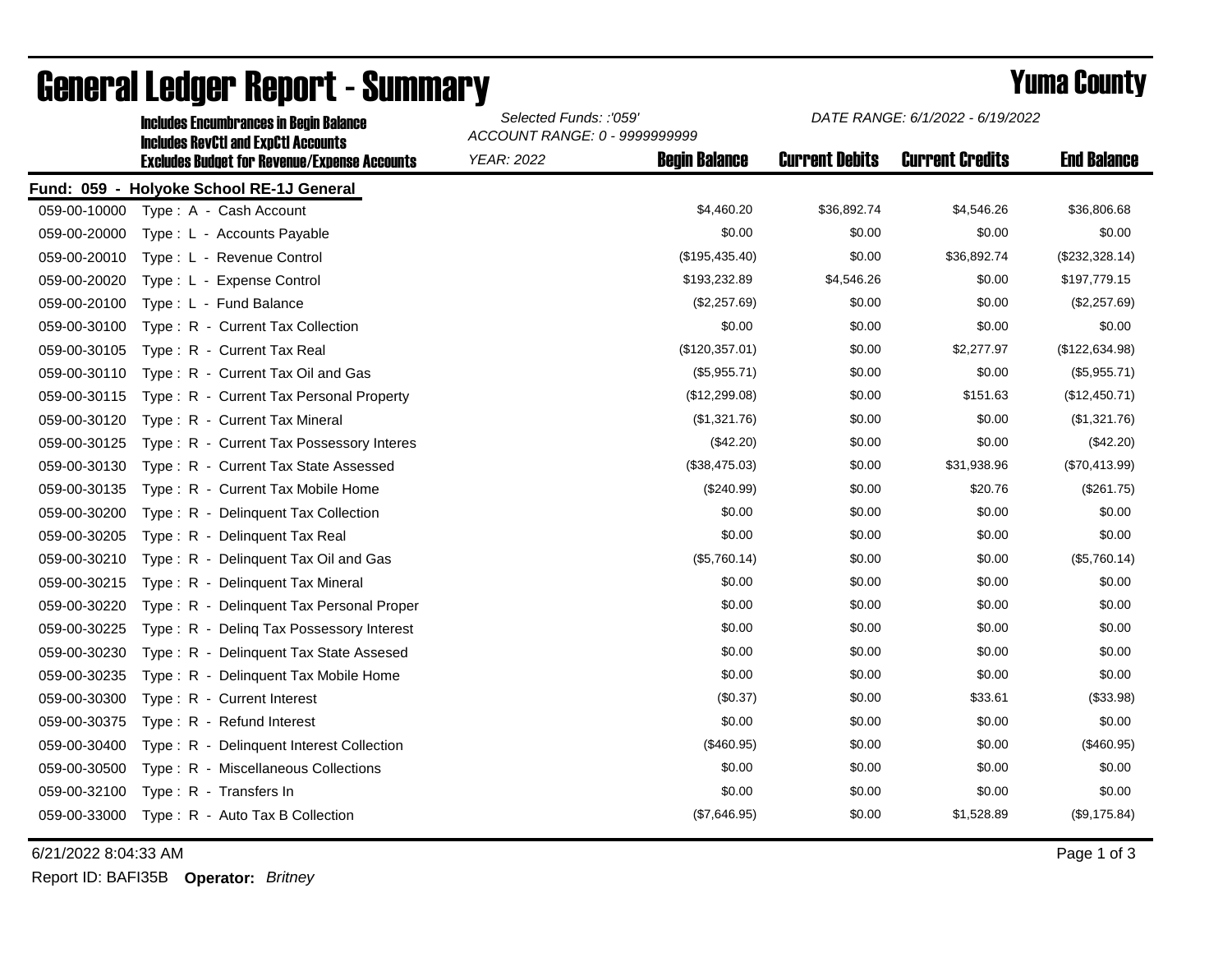|              | <b>Includes Encumbrances in Begin Balance</b><br><b>Includes RevCtI and ExpCtI Accounts</b> | Selected Funds: :'059'<br>ACCOUNT RANGE: 0 - 9999999999 |                      | DATE RANGE: 6/1/2022 - 6/19/2022 |                        |                    |
|--------------|---------------------------------------------------------------------------------------------|---------------------------------------------------------|----------------------|----------------------------------|------------------------|--------------------|
|              | <b>Excludes Budget for Revenue/Expense Accounts</b>                                         | <b>YEAR: 2022</b>                                       | <b>Begin Balance</b> | <b>Current Debits</b>            | <b>Current Credits</b> | <b>End Balance</b> |
|              | Fund: 059 - Holyoke School RE-1J General                                                    |                                                         |                      |                                  |                        |                    |
| 059-00-10000 | Type: A - Cash Account                                                                      |                                                         | \$4,460.20           | \$36,892.74                      | \$4,546.26             | \$36,806.68        |
| 059-00-20000 | Type: L - Accounts Payable                                                                  |                                                         | \$0.00               | \$0.00                           | \$0.00                 | \$0.00             |
| 059-00-20010 | Type: L - Revenue Control                                                                   |                                                         | (\$195,435.40)       | \$0.00                           | \$36,892.74            | (\$232,328.14)     |
| 059-00-20020 | Type: L - Expense Control                                                                   |                                                         | \$193,232.89         | \$4,546.26                       | \$0.00                 | \$197,779.15       |
| 059-00-20100 | Type: L - Fund Balance                                                                      |                                                         | (\$2,257.69)         | \$0.00                           | \$0.00                 | (\$2,257.69)       |
| 059-00-30100 | Type: R - Current Tax Collection                                                            |                                                         | \$0.00               | \$0.00                           | \$0.00                 | \$0.00             |
| 059-00-30105 | Type: R - Current Tax Real                                                                  |                                                         | (\$120,357.01)       | \$0.00                           | \$2,277.97             | (\$122,634.98)     |
| 059-00-30110 | Type: R - Current Tax Oil and Gas                                                           |                                                         | (\$5,955.71)         | \$0.00                           | \$0.00                 | (\$5,955.71)       |
| 059-00-30115 | Type: R - Current Tax Personal Property                                                     |                                                         | (\$12,299.08)        | \$0.00                           | \$151.63               | (\$12,450.71)      |
| 059-00-30120 | Type: R - Current Tax Mineral                                                               |                                                         | (\$1,321.76)         | \$0.00                           | \$0.00                 | (\$1,321.76)       |
| 059-00-30125 | Type: R - Current Tax Possessory Interes                                                    |                                                         | $(\$42.20)$          | \$0.00                           | \$0.00                 | (\$42.20)          |
| 059-00-30130 | Type: R - Current Tax State Assessed                                                        |                                                         | (\$38,475.03)        | \$0.00                           | \$31,938.96            | (\$70,413.99)      |
| 059-00-30135 | Type: R - Current Tax Mobile Home                                                           |                                                         | (\$240.99)           | \$0.00                           | \$20.76                | (\$261.75)         |
| 059-00-30200 | Type: R - Delinquent Tax Collection                                                         |                                                         | \$0.00               | \$0.00                           | \$0.00                 | \$0.00             |
| 059-00-30205 | Type: R - Delinquent Tax Real                                                               |                                                         | \$0.00               | \$0.00                           | \$0.00                 | \$0.00             |
| 059-00-30210 | Type: R - Delinquent Tax Oil and Gas                                                        |                                                         | (\$5,760.14)         | \$0.00                           | \$0.00                 | (\$5,760.14)       |
| 059-00-30215 | Type: R - Delinquent Tax Mineral                                                            |                                                         | \$0.00               | \$0.00                           | \$0.00                 | \$0.00             |
| 059-00-30220 | Type: R - Delinguent Tax Personal Proper                                                    |                                                         | \$0.00               | \$0.00                           | \$0.00                 | \$0.00             |
| 059-00-30225 | Type: R - Deling Tax Possessory Interest                                                    |                                                         | \$0.00               | \$0.00                           | \$0.00                 | \$0.00             |
| 059-00-30230 | Type: R - Delinguent Tax State Assesed                                                      |                                                         | \$0.00               | \$0.00                           | \$0.00                 | \$0.00             |
| 059-00-30235 | Type: R - Delinquent Tax Mobile Home                                                        |                                                         | \$0.00               | \$0.00                           | \$0.00                 | \$0.00             |
| 059-00-30300 | Type: R - Current Interest                                                                  |                                                         | (\$0.37)             | \$0.00                           | \$33.61                | (\$33.98)          |
| 059-00-30375 | Type: R - Refund Interest                                                                   |                                                         | \$0.00               | \$0.00                           | \$0.00                 | \$0.00             |
| 059-00-30400 | Type: R - Delinquent Interest Collection                                                    |                                                         | (\$460.95)           | \$0.00                           | \$0.00                 | (\$460.95)         |
| 059-00-30500 | Type: R - Miscellaneous Collections                                                         |                                                         | \$0.00               | \$0.00                           | \$0.00                 | \$0.00             |
| 059-00-32100 | Type: R - Transfers In                                                                      |                                                         | \$0.00               | \$0.00                           | \$0.00                 | \$0.00             |
| 059-00-33000 | Type: R - Auto Tax B Collection                                                             |                                                         | (\$7,646.95)         | \$0.00                           | \$1,528.89             | (\$9,175.84)       |

## General Ledger Report - Summary **Example 2018** Yuma County

6/21/2022 8:04:33 AM Page 1 of 3

Report ID: BAFI35B **Operator:** *Britney*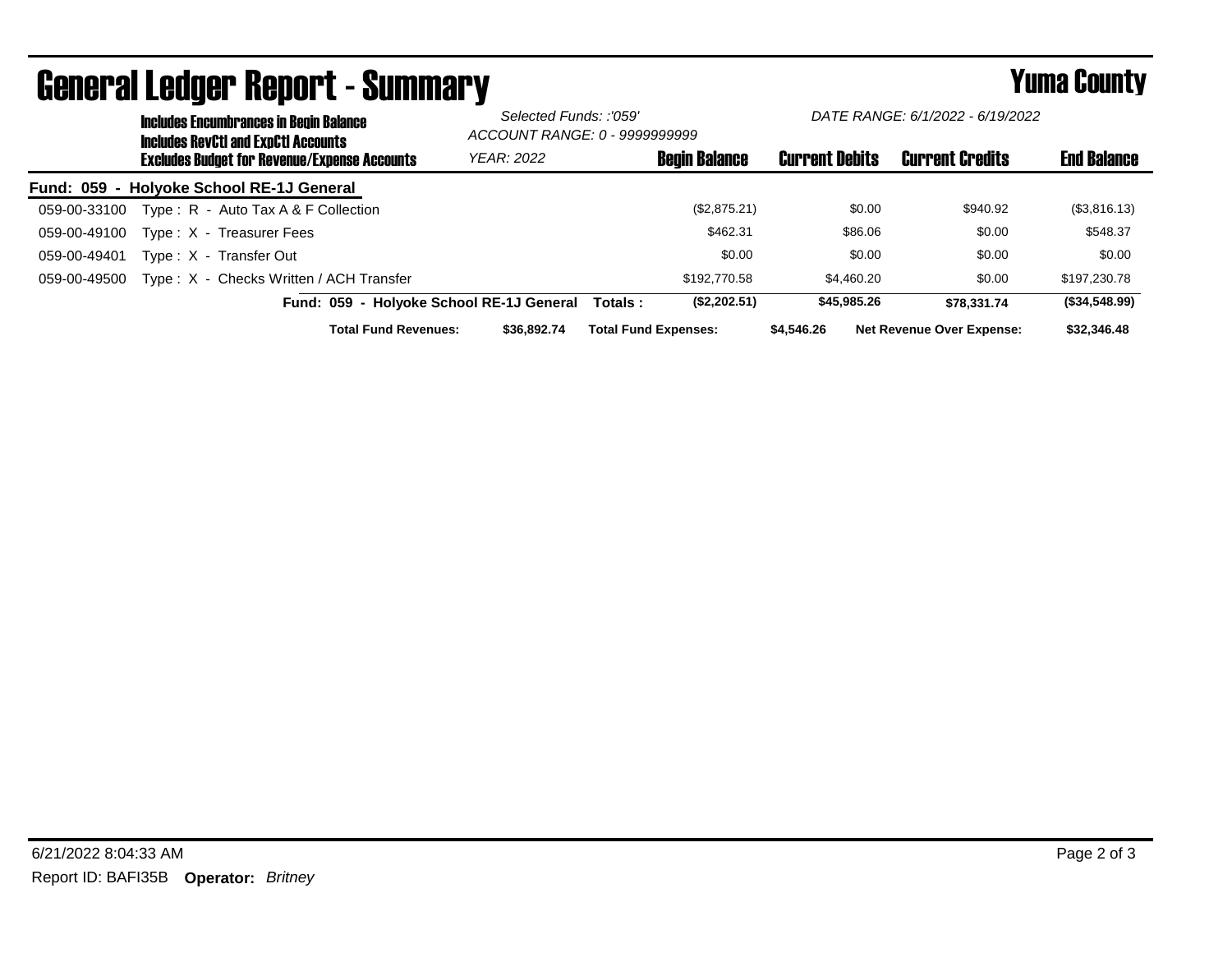|                  |                                                     | <b>Includes Encumbrances in Begin Balance</b><br><b>Includes RevCtI and ExpCtI Accounts</b> |                                          | Selected Funds: :'059'<br>ACCOUNT RANGE: 0 - 9999999999 |                             | DATE RANGE: 6/1/2022 - 6/19/2022 |                       |         |                                  |                    |
|------------------|-----------------------------------------------------|---------------------------------------------------------------------------------------------|------------------------------------------|---------------------------------------------------------|-----------------------------|----------------------------------|-----------------------|---------|----------------------------------|--------------------|
|                  | <b>Excludes Budget for Revenue/Expense Accounts</b> |                                                                                             |                                          | <b>YEAR: 2022</b>                                       |                             | <b>Begin Balance</b>             | <b>Current Debits</b> |         | <b>Current Credits</b>           | <b>End Balance</b> |
| <b>Fund: 059</b> |                                                     | - Holyoke School RE-1J General                                                              |                                          |                                                         |                             |                                  |                       |         |                                  |                    |
| 059-00-33100     |                                                     | Type: $R -$ Auto Tax A & F Collection                                                       |                                          |                                                         |                             | (\$2,875.21)                     |                       | \$0.00  | \$940.92                         | (\$3,816.13)       |
| 059-00-49100     |                                                     | Type: X - Treasurer Fees                                                                    |                                          |                                                         |                             | \$462.31                         |                       | \$86.06 | \$0.00                           | \$548.37           |
| 059-00-49401     |                                                     | Type: X - Transfer Out                                                                      |                                          |                                                         |                             | \$0.00                           |                       | \$0.00  | \$0.00                           | \$0.00             |
| 059-00-49500     |                                                     | Type: X - Checks Written / ACH Transfer                                                     |                                          |                                                         |                             | \$192,770.58                     | \$4,460.20            |         | \$0.00                           | \$197,230.78       |
|                  |                                                     |                                                                                             | Fund: 059 - Holyoke School RE-1J General |                                                         | Totals :                    | (\$2,202.51)                     | \$45,985.26           |         | \$78.331.74                      | (\$34,548.99)      |
|                  |                                                     |                                                                                             | <b>Total Fund Revenues:</b>              | \$36,892,74                                             | <b>Total Fund Expenses:</b> |                                  | \$4,546.26            |         | <b>Net Revenue Over Expense:</b> | \$32,346.48        |

## General Ledger Report - Summary **Example 2018** Yuma County